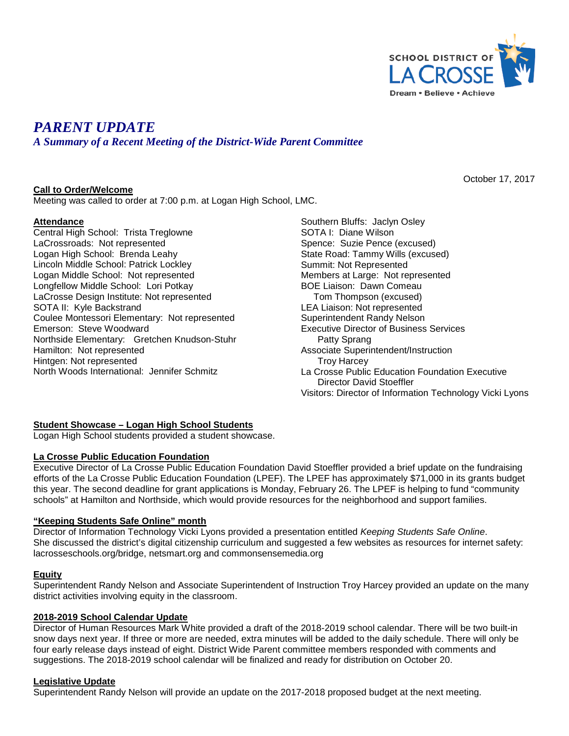

October 17, 2017

# *PARENT UPDATE*

*A Summary of a Recent Meeting of the District-Wide Parent Committee*

# **Call to Order/Welcome**

Meeting was called to order at 7:00 p.m. at Logan High School, LMC.

# **Attendance**

Central High School: Trista Treglowne LaCrossroads: Not represented Logan High School: Brenda Leahy Lincoln Middle School: Patrick Lockley Logan Middle School: Not represented Longfellow Middle School: Lori Potkay LaCrosse Design Institute: Not represented SOTA II: Kyle Backstrand Coulee Montessori Elementary: Not represented Emerson: Steve Woodward Northside Elementary: Gretchen Knudson-Stuhr Hamilton: Not represented Hintgen: Not represented North Woods International: Jennifer Schmitz

Southern Bluffs: Jaclyn Osley SOTA I: Diane Wilson Spence: Suzie Pence (excused) State Road: Tammy Wills (excused) Summit: Not Represented Members at Large: Not represented BOE Liaison: Dawn Comeau Tom Thompson (excused) LEA Liaison: Not represented Superintendent Randy Nelson Executive Director of Business Services Patty Sprang Associate Superintendent/Instruction Troy Harcey La Crosse Public Education Foundation Executive Director David Stoeffler Visitors: Director of Information Technology Vicki Lyons

#### **Student Showcase – Logan High School Students**

Logan High School students provided a student showcase.

#### **La Crosse Public Education Foundation**

Executive Director of La Crosse Public Education Foundation David Stoeffler provided a brief update on the fundraising efforts of the La Crosse Public Education Foundation (LPEF). The LPEF has approximately \$71,000 in its grants budget this year. The second deadline for grant applications is Monday, February 26. The LPEF is helping to fund "community schools" at Hamilton and Northside, which would provide resources for the neighborhood and support families.

#### **"Keeping Students Safe Online" month**

Director of Information Technology Vicki Lyons provided a presentation entitled *Keeping Students Safe Online*. She discussed the district's digital citizenship curriculum and suggested a few websites as resources for internet safety: lacrosseschools.org/bridge, netsmart.org and commonsensemedia.org

#### **Equity**

Superintendent Randy Nelson and Associate Superintendent of Instruction Troy Harcey provided an update on the many district activities involving equity in the classroom.

#### **2018-2019 School Calendar Update**

Director of Human Resources Mark White provided a draft of the 2018-2019 school calendar. There will be two built-in snow days next year. If three or more are needed, extra minutes will be added to the daily schedule. There will only be four early release days instead of eight. District Wide Parent committee members responded with comments and suggestions. The 2018-2019 school calendar will be finalized and ready for distribution on October 20.

#### **Legislative Update**

Superintendent Randy Nelson will provide an update on the 2017-2018 proposed budget at the next meeting.